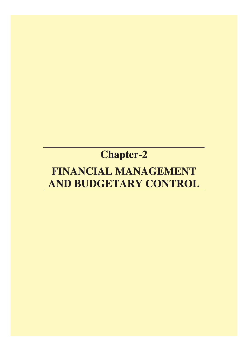## **Chapter-2**

# FINANCIAL MANAGEMENT AND BUDGETARY CONTROL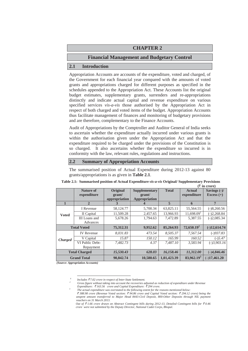## **CHAPTER 2**

## **Financial Management and Budgetary Control**

## **2.1 Introduction**

Appropriation Accounts are accounts of the expenditure, voted and charged, of the Government for each financial year compared with the amounts of voted grants and appropriations charged for different purposes as specified in the schedules appended to the Appropriation Act. These Accounts list the original budget estimates, supplementary grants, surrenders and re-appropriations distinctly and indicate actual capital and revenue expenditure on various specified services *vis-a-vis* those authorised by the Appropriation Act in respect of both charged and voted items of the budget. Appropriation Accounts thus facilitate management of finances and monitoring of budgetary provisions and are therefore, complementary to the Finance Accounts.

Audit of Appropriations by the Comptroller and Auditor General of India seeks to ascertain whether the expenditure actually incurred under various grants is within the authorisation given under the Appropriation Act and that the expenditure required to be charged under the provisions of the Constitution is so charged. It also ascertains whether the expenditure so incurred is in conformity with the law, relevant rules, regulations and instructions.

### **2.2 Summary of Appropriation Accounts**

The summarised position of Actual Expenditure during 2012-13 against 80 grants/appropriations is as given in **Table 2.1**.

|                      | Nature of          | Original      | <b>Supplementary</b> | <b>Total</b> | <b>Actual</b>          | Savings $(-)/$ |
|----------------------|--------------------|---------------|----------------------|--------------|------------------------|----------------|
|                      | expenditure        | grant/        | grant/               |              | expenditure            | Excess $(+)$   |
|                      |                    | appropriation | Appropriation        |              |                        |                |
| $\mathbf{1}$         | $\mathbf{2}$       | 3             | 4                    | 5            | 6                      | 7              |
|                      | I Revenue          | 58,124.77     | 5,700.34             | 63,825.11    | 55,564.55              | $(-)8,260.56$  |
| <b>Voted</b>         | II Capital         | 11,509.28     | 2,457.65             | 13.966.93    | 11,698.09 <sup>1</sup> | $(-)2,268.84$  |
|                      | III Loans and      | 5,678.26      | 1,794.63             | 7,472.89     | 5,387.55               | $(-)2,085.34$  |
|                      | Advances           |               |                      |              |                        |                |
|                      | <b>Total Voted</b> | 75,312.31     | 9,952.62             | 85,264.93    | $72,650.19^2$          | $(-)12,614.74$ |
|                      | <b>IV</b> Revenue  | 8.031.83      | 473.54               | 8.505.37     | 7.567.54               | $(-)937.83$    |
| <b>Charged</b>       | V Capital          | 15.87         | 150.12               | 165.99       | 160.52                 | $(-)$ 5.47     |
|                      | VI Public Debt-    | 7.482.73      | 4.37                 | 7.487.10     | 3.583.94               | $(-)3,903.16$  |
|                      | Repayment          |               |                      |              |                        |                |
| <b>Total Charged</b> |                    | 15,530.43     | 628.03               | 16,158.46    | 11,312.00              | $(-)4,846.46$  |
|                      | <b>Grand Total</b> | 90,842.74     | 10,580.65            | 1,01,423.39  | 83,962.19 <sup>3</sup> | $(-)17,461.20$ |

#### **Table 2.1: Summarised position of Actual Expenditure** *vis-a-vis* **Original/ Supplementary Provisions**   $(\bar{F}$  in crore)

 *(Source: Appropriation Accounts)*

*<sup>1</sup> Includes* ` *7.02 crore in respect of Inter-State Settlement.*

*<sup>2</sup> Gross figure without taking into account the recoveries adjusted as reduction of expenditure under Revenue Expenditure: ₹163.56 crore and Capital Expenditure: ₹294 crore.* 

*The actual expenditure was overstated to the following extent for the reasons mentioned below:* 

` *388.98 crore (Revenue Voted section:* ` *94.86 crore and Capital Voted section:* ` *294.12 crore) being the unspent amount transferred to Major Head 8443-Civil Deposit, 800-Other Deposits through NIL payment vouchers on 31 March 2013.* 

*Out of* ` *1.66 crore drawn on Abstract Contingent bills during 2012-13, Detailed Contingent bills for* ` *0.46 crore were not submitted by the Deputy Director, National Cadet Corps, Bhopal.*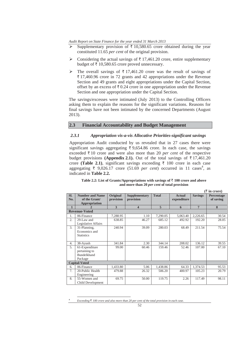- Supplementary provision of  $\bar{\tau}$  10,580.65 crore obtained during the year constituted 11.65 *per cent* of the original provision.
- $\triangleright$  Considering the actual savings of  $\bar{\tau}$  17,461.20 crore, entire supplementary budget of  $\bar{\tau}$  10,580.65 crore proved unnecessary.
- $\triangleright$  The overall savings of  $\overline{\tau}$  17,461.20 crore was the result of savings of  $\overline{\xi}$  17,460.96 crore in 72 grants and 42 appropriations under the Revenue Section and 49 grants and eight appropriations under the Capital Section, offset by an excess of  $\bar{\tau}$  0.24 crore in one appropriation under the Revenue Section and one appropriation under the Capital Section.

The savings/excesses were intimated (July 2013) to the Controlling Officers asking them to explain the reasons for the significant variations. Reasons for final savings have not been intimated by the concerned Departments (August 2013).

### **2.3 Financial Accountability and Budget Management**

#### *2.3.1 Appropriation vis-a-vis Allocative Priorities-significant savings*

Appropriation Audit conducted by us revealed that in 27 cases there were significant savings aggregating  $\overline{\tau}$  9,654.86 crore. In each case, the savings exceeded  $\bar{\tau}$  10 crore and were also more than 20 *per cent* of the respective budget provisions **(Appendix 2.1).** Out of the total savings of  $\bar{\tau}$  17,461.20 crore **(Table 2.1)**, significant savings exceeding  $\bar{\tau}$  100 crore in each case aggregating  $\overline{\xi}$  9,026.17 crore (51.69 *per cent*) occurred in 11 cases<sup>4</sup>, as indicated in **Table 2.2.**

Table 2.2: List of Grants/Appropriations with savings of  $\bar{\tau}$  100 crore and above **and more than 20** *per cent* **of total provision** 

|              |                                                                  |                       |                                   |              |                              |                 | $(\bar{z}$ in crore)    |
|--------------|------------------------------------------------------------------|-----------------------|-----------------------------------|--------------|------------------------------|-----------------|-------------------------|
| SI.<br>No.   | <b>Number and Name</b><br>of the Grant/<br>Appropriation         | Original<br>provision | <b>Supplementary</b><br>provision | <b>Total</b> | <b>Actual</b><br>expenditure | <b>Savings</b>  | Percentage<br>of saving |
| $\mathbf{1}$ | 2                                                                | 3                     | 4                                 | 5            | 6                            | $7\phantom{.0}$ | 8                       |
|              | <b>Revenue-Voted</b>                                             |                       |                                   |              |                              |                 |                         |
| 1.           | 06-Finance                                                       | 7,288.95              | 1.10                              | 7,290.05     | 5,063.40                     | 2,226.65        | 30.54                   |
| 2.           | 29-Law and<br>Legislative Affairs                                | 638.85                | 46.27                             | 685.12       | 492.92                       | 192.20          | 28.05                   |
| 3.           | 31-Planning,<br>Economics and<br><b>Statistics</b>               | 240.94                | 39.09                             | 280.03       | 68.49                        | 211.54          | 75.54                   |
| 4.           | 38-Ayush                                                         | 341.84                | 2.30                              | 344.14       | 208.02                       | 136.12          | 39.55                   |
| 5.           | 61-Expenditure<br>pertaining to<br><b>Bundelkhand</b><br>Package | 99.00                 | 60.46                             | 159.46       | 52.46                        | 107.00          | 67.10                   |
|              | <b>Capital-Voted</b>                                             |                       |                                   |              |                              |                 |                         |
| б.           | 06-Finance                                                       | 1,433.80              | 5.06                              | 1,438.86     | 64.33                        | 1,374.53        | 95.53                   |
| 7.           | 20-Public Health<br>Engineering                                  | 479.88                | 26.32                             | 506.20       | 400.97                       | 105.23          | 20.79                   |
| 8.           | 55-Women and<br>Child Development                                | 69.75                 | 50.00                             | 119.75       | 2.26                         | 117.49          | 98.11                   |

*Exceeding*  $\bar{\tau}$  *100 crore and also more than 20 per cent of the total provision in each case*.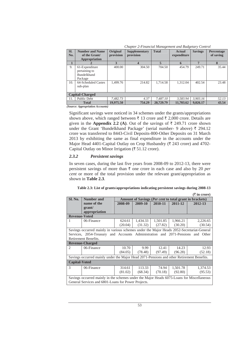| $\alpha$ and $\alpha$ is a contribution of the control of $\alpha$ and $\alpha$ is $\alpha$ and $\alpha$ is $\alpha$ |                                                                                  |                              |                            |                    |                              |                  |                                |
|----------------------------------------------------------------------------------------------------------------------|----------------------------------------------------------------------------------|------------------------------|----------------------------|--------------------|------------------------------|------------------|--------------------------------|
| SI.<br>No.                                                                                                           | <b>Number and Name</b><br>of the Grant/<br>Appropriation                         | <b>Original</b><br>provision | Supplementary<br>provision | <b>Total</b>       | <b>Actual</b><br>expenditure | <b>Savings</b>   | <b>Percentage</b><br>of saving |
| 1                                                                                                                    |                                                                                  | $\mathbf{3}$                 | 4                          | 5                  | 6                            |                  | 8                              |
| 9.<br>10.                                                                                                            | 61-Expenditure<br>pertaining to<br>Bundelkhand<br>Package<br>64-Scheduled Castes | 400.00<br>1.499.76           | 304.50<br>214.82           | 704.50<br>1.714.58 | 454.79<br>1.312.04           | 249.71<br>402.54 | 35.44<br>23.48                 |
|                                                                                                                      | sub-plan<br><b>Capital-Charged</b>                                               |                              |                            |                    |                              |                  |                                |
| 11.                                                                                                                  | Public Debt                                                                      | 7,482.73                     | 4.37                       | 7.487.10           | 3.583.94                     | 3.903.16         | 52.13                          |
|                                                                                                                      | <b>Total</b>                                                                     | 19,975.50                    | 754.29                     | 20,729.79          | 11,703.62                    | 9,026.17         | 43.54                          |

*Chapter 2-Financial Management and Budgetary Control* 

*(Source: Appropriation Accounts)* 

Significant savings were noticed in 34 schemes under the grants/appropriations shown above, which ranged between  $\bar{\tau}$  13 crore and  $\bar{\tau}$  2,000 crore. Details are given in the **Appendix 2.2** (A). Out of the savings of  $\bar{\tau}$  249.71 crore shown under the Grant 'Bundelkhand Package' (serial number- 9 above)  $\bar{\tau}$  294.12 crore was transferred to 8443-Civil Deposits-800-Other Deposits on 31 March 2013 by exhibiting the same as final expenditure in the accounts under the Major Head 4401-Capital Outlay on Crop Husbandry ( $\bar{\tau}$  243 crore) and 4702-Capital Outlay on Minor Irrigation ( $\overline{\xi}$  51.12 crore).

#### *2.3.2 Persistent savings*

In seven cases, during the last five years from 2008-09 to 2012-13, there were persistent savings of more than  $\bar{\tau}$  one crore in each case and also by 20 *per cent* or more of the total provision under the relevant grant/appropriation as shown in **Table 2.3**.

|                      |                                                                                                                                                  |         |          |          |          | (₹ in crore)                                                    |
|----------------------|--------------------------------------------------------------------------------------------------------------------------------------------------|---------|----------|----------|----------|-----------------------------------------------------------------|
| Sl. No.              | Number and                                                                                                                                       |         |          |          |          | Amount of Savings ( <i>Per cent</i> to total grant in brackets) |
|                      | name of the                                                                                                                                      | 2008-09 | 2009-10  | 2010-11  | 2011-12  | 2012-13                                                         |
|                      | grant/                                                                                                                                           |         |          |          |          |                                                                 |
|                      | appropriation                                                                                                                                    |         |          |          |          |                                                                 |
| <b>Revenue-Voted</b> |                                                                                                                                                  |         |          |          |          |                                                                 |
|                      | 06-Finance                                                                                                                                       | 624.61  | 1,434.33 | 1,501.85 | 1,966.21 | 2,226.65                                                        |
|                      |                                                                                                                                                  | (20.04) | (31.32)  | (27.82)  | (30.20)  | (30.54)                                                         |
|                      | Savings occurred mainly in various schemes under the Major Heads 2052-Secretariat-General                                                        |         |          |          |          |                                                                 |
|                      | Services, 2054-Treasury and Accounts Administration and 2071-Pensions and Other                                                                  |         |          |          |          |                                                                 |
|                      | Retirement Benefits.                                                                                                                             |         |          |          |          |                                                                 |
|                      | <b>Revenue-Charged</b>                                                                                                                           |         |          |          |          |                                                                 |
| $\mathfrak{D}$       | 06-Finance                                                                                                                                       | 10.70   | 9.99     | 12.41    | 14.23    | 12.93                                                           |
|                      |                                                                                                                                                  | (84.05) | (78.48)  | (97.49)  | (96.28)  | (52.18)                                                         |
|                      | Savings occurred mainly under the Major Head 2071-Pensions and other Retirement Benefits.                                                        |         |          |          |          |                                                                 |
| <b>Capital-Voted</b> |                                                                                                                                                  |         |          |          |          |                                                                 |
| $\mathcal{R}$        | 06-Finance                                                                                                                                       | 314.61  | 113.33   | 74.94    | 1,501.78 | 1,374.53                                                        |
|                      |                                                                                                                                                  | (81.02) | (68.34)  | (70.18)  | (92.80)  | (95.53)                                                         |
|                      | Savings occurred mainly in the schemes under the Major Heads 6075-Loans for Miscellaneous<br>General Services and 6801-Loans for Power Projects. |         |          |          |          |                                                                 |

| Table 2.3: List of grants/appropriations indicating persistent savings during 2008-13 |  |
|---------------------------------------------------------------------------------------|--|
|---------------------------------------------------------------------------------------|--|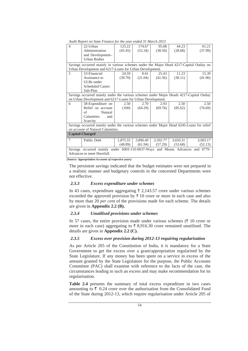| <i>raadi Report on State 1 mance for the year enacu 31 march 2013</i> |                                                                                          |          |          |          |          |          |
|-----------------------------------------------------------------------|------------------------------------------------------------------------------------------|----------|----------|----------|----------|----------|
| 4                                                                     | 22-Urban                                                                                 | 125.22   | 174.67   | 95.08    | 44.23    | 61.21    |
|                                                                       | Administration                                                                           | (45.45)  | (52.34)  | (38.50)  | (28.68)  | (37.99)  |
|                                                                       | and Development-                                                                         |          |          |          |          |          |
|                                                                       | <b>Urban Bodies</b>                                                                      |          |          |          |          |          |
|                                                                       | Savings occurred mainly in various schemes under the Major Head 4217-Capital Outlay on   |          |          |          |          |          |
|                                                                       | Urban Development and 6217-Loans for Urban Development.                                  |          |          |          |          |          |
| 5                                                                     | 53-Financial                                                                             | 24.59    | 8.61     | 25.43    | 11.23    | 15.39    |
|                                                                       | Assistance to                                                                            | (39.70)  | (21.04)  | (41.56)  | (30.11)  | (41.06)  |
|                                                                       | <b>ULBs</b> under                                                                        |          |          |          |          |          |
|                                                                       | <b>Scheduled Castes</b>                                                                  |          |          |          |          |          |
|                                                                       | Sub-Plan                                                                                 |          |          |          |          |          |
|                                                                       | Savings occurred mainly under the various schemes under Major Heads 4217-Capital Outlay  |          |          |          |          |          |
|                                                                       | on Urban Development and 6217-Loans for Urban Development.                               |          |          |          |          |          |
| 6                                                                     | 58-Expenditure on                                                                        | 2.50     | 2.70     | 2.93     | 2.50     | 2.50     |
|                                                                       | Relief on account                                                                        | (100)    | (64.29)  | (69.76)  | (85.62)  | (76.69)  |
|                                                                       | of<br>Natural                                                                            |          |          |          |          |          |
|                                                                       |                                                                                          |          |          |          |          |          |
|                                                                       | Calamities<br>and                                                                        |          |          |          |          |          |
|                                                                       | Scarcity                                                                                 |          |          |          |          |          |
|                                                                       | Savings occurred mainly under the various schemes under Major Head 6245-Loans for relief |          |          |          |          |          |
|                                                                       | on account of Natural Calamities.                                                        |          |          |          |          |          |
|                                                                       | <b>Capital-Charged</b>                                                                   |          |          |          |          |          |
| $\tau$                                                                | Public Debt                                                                              | 1,875.55 | 3,896.40 | 3,392.77 | 3,650.31 | 3,903.17 |
|                                                                       |                                                                                          | (48.89)  | (61.94)  | (57.29)  | (53.68)  | (52.13)  |
|                                                                       | Savings occurred mainly under 6003-110-0637-Ways and Means Advances and 0779-            |          |          |          |          |          |

*Audit Report on State Finance for the year ended 31 March 2013* 

*(Source: Appropriation Accounts of respective years)* 

The persistent savings indicated that the budget estimates were not prepared in a realistic manner and budgetary controls in the concerned Departments were not effective.

#### *2.3.3 Excess expenditure under schemes*

In 43 cases, expenditure aggregating  $\bar{\tau}$  2,143.57 crore under various schemes exceeded the approved provision by  $\bar{x}$  10 crore or more in each case and also by more than 20 *per cent* of the provisions made for each scheme. The details are given in **Appendix 2.2 (B).** 

#### *2.3.4 Unutilised provisions under schemes*

In 57 cases, the entire provision made under various schemes  $(3 \ 10 \text{ core or})$ more in each case) aggregating to  $\bar{\tau}$  8,916.30 crore remained unutilised. The details are given in **Appendix 2.2 (C).** 

#### *2.3.5 Excess over provision during 2012-13 requiring regularisation*

As per Article 205 of the Constitution of India, it is mandatory for a State Government to get the excess over a grant/appropriation regularised by the State Legislature. If any money has been spent on a service in excess of the amount granted by the State Legislature for the purpose, the Public Accounts Committee (PAC) shall examine with reference to the facts of the case, the circumstances leading to such an excess and may make recommendation for its regularisation.

**Table 2.4** presents the summary of total excess expenditure in two cases amounting to  $\bar{\tau}$  0.24 crore over the authorisation from the Consolidated Fund of the State during 2012-13, which require regularisation under Article 205 of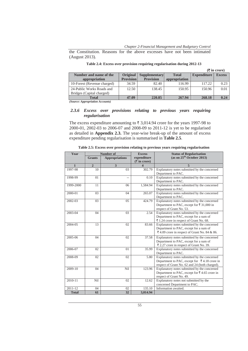*Chapter 2-Financial Management and Budgetary Control* 

the Constitution. Reasons for the above excesses have not been intimated (August 2013).

|                                                        |                  |                      |               |                    | $(3\overline{5})$ in crore) |
|--------------------------------------------------------|------------------|----------------------|---------------|--------------------|-----------------------------|
| Number and name of the                                 | <b>Original</b>  | <b>Supplementary</b> | <b>Total</b>  | <b>Expenditure</b> | <b>Excess</b>               |
| appropriation                                          | <b>Provision</b> | <b>Provision</b>     | appropriation |                    |                             |
| 10-Forest (Revenue charged)                            | 34.59            | 82.40                | 116.99        | 117.22             | 0.23                        |
| 24-Public Works Roads and<br>Bridges (Capital charged) | 12.50            | 138.45               | 150.95        | 150.96             | 0.01                        |
| Total                                                  | 47.09            | 220.85               | 267.94        | 268.18             | 0.24                        |

| Table 2.4: Excess over provision requiring regularisation during 2012-13 |  |  |  |
|--------------------------------------------------------------------------|--|--|--|

*(Source: Appropriation Accounts)*

## *2.3.6 Excess over provisions relating to previous years requiring regularisation*

The excess expenditure amounting to  $\bar{\tau}$  3,014.94 crore for the years 1997-98 to 2000-01, 2002-03 to 2006-07 and 2008-09 to 2011-12 is yet to be regularised as detailed in **Appendix 2.3.** The year-wise break-up of the amount of excess expenditure pending regularisation is summarised in **Table 2.5**.

| Year         |                | Number of             | <b>Excess</b>                       | <b>Status of Regularisation</b>                                                                                                                |
|--------------|----------------|-----------------------|-------------------------------------|------------------------------------------------------------------------------------------------------------------------------------------------|
|              | <b>Grants</b>  | <b>Appropriations</b> | expenditure<br>$(\bar{z}$ in crore) | (as on $25th$ October 2013)                                                                                                                    |
| $\mathbf{1}$ | $\overline{2}$ | 3                     | $\boldsymbol{\Delta}$               | 5                                                                                                                                              |
| 1997-98      | 10             | 03                    | 302.79                              | Explanatory notes submitted by the concerned<br>Department to PAC.                                                                             |
| 1998-99      | 01             | $-1$                  | 0.10                                | Explanatory notes submitted by the concerned<br>Department to PAC.                                                                             |
| 1999-2000    | 11             | 06                    | 1,584.94                            | Explanatory notes submitted by the concerned<br>Department to PAC.                                                                             |
| 2000-01      | 03             | 04                    | 265.07                              | Explanatory notes submitted by the concerned<br>Department to PAC.                                                                             |
| 2002-03      | 03             | 05                    | 424.79                              | Explanatory notes submitted by the concerned<br>Department to PAC, except for ₹ 31,000 in<br>respect of Grant No. 53.                          |
| 2003-04      | 04             | 03                    | 2.54                                | Explanatory notes submitted by the concerned<br>Department to PAC, except for a sum of<br>₹ 1.24 crore in respect of Grant No. 68.             |
| 2004-05      | 13             | 02                    | 83.66                               | Explanatory notes submitted by the concerned<br>Department to PAC, except for a sum of<br>₹ 4.09 crore in respect of Grant No. 84 & 86.        |
| 2005-06      | 04             | 02                    | 37.58                               | Explanatory notes submitted by the concerned<br>Department to PAC, except for a sum of<br>₹ 2.27 crore in respect of Grant No. 39.             |
| 2006-07      | 02             | 01                    | 35.99                               | Explanatory notes submitted by the concerned<br>Department to PAC.                                                                             |
| 2008-09      | 02             | 02                    | 5.80                                | Explanatory notes submitted by the concerned<br>Department to PAC, except for ₹4.18 crore in<br>respect of Grant No. 62 and 24 (both charged). |
| 2009-10      | 04             | Nil                   | 123.96                              | Explanatory notes submitted by the concerned<br>Department to PAC, except for ₹4.65 crore in<br>respect of Grant No. 49.                       |
| 2010-11      | Nil            | 02                    | 12.62                               | Explanatory notes not submitted by the<br>concerned Department to PAC.                                                                         |
| 2011-12      | 04             | 02                    | 135.10                              | Information awaited.                                                                                                                           |
| <b>Total</b> | 61             | 32                    | 3,014.94                            |                                                                                                                                                |

**Table 2.5: Excess over provision relating to previous years requiring regularisation**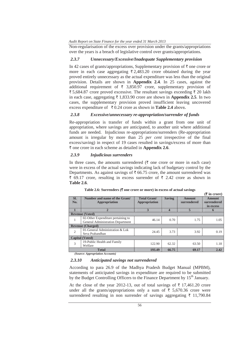Non-regularisation of the excess over provision under the grants/appropriations over the years is a breach of legislative control over grants/appropriations.

## *2.3.7 Unnecessary/Excessive/Inadequate Supplementary provision*

In 42 cases of grants/appropriations, Supplementary provision of  $\bar{\tau}$  one crore or more in each case aggregating  $\bar{\tau}$  2,483.20 crore obtained during the year proved entirely unnecessary as the actual expenditure was less than the original provision. Details are shown in **Appendix 2.4***.* In 25 cases, against the additional requirement of  $\bar{\tau}$  3,850.97 crore, supplementary provision of  $\bar{\xi}$  5,684.87 crore proved excessive. The resultant savings exceeding  $\bar{\xi}$  20 lakh in each case, aggregating  $\bar{\tau}$  1,833.90 crore are shown in **Appendix 2.5***.* In two cases, the supplementary provision proved insufficient leaving uncovered excess expenditure of  $\bar{\tau}$  0.24 crore as shown in **Table 2.4** above.

#### *2.3.8 Excessive/unnecessary re-appropriation/surrender of funds*

Re-appropriation is transfer of funds within a grant from one unit of appropriation, where savings are anticipated, to another unit where additional funds are needed. Injudicious re-appropriations/surrenders (Re-appropriation amount is irregular by more than 25 *per cent* irrespective of the final excess/saving) in respect of 19 cases resulted in savings/excess of more than ₹ one crore in each scheme as detailed in **Appendix 2.6**.

#### *2.3.9 Injudicious surrenders*

In three cases, the amounts surrendered  $(\bar{\tau})$  one crore or more in each case) were in excess of the actual savings indicating lack of budgetary control by the Departments. As against savings of  $\bar{\tau}$  66.75 crore, the amount surrendered was  $\overline{\xi}$  69.17 crore, resulting in excess surrender of  $\overline{\xi}$  2.42 crore as shown in **Table 2.6**.

|                |                                                                         |                                      |               |                              | $(\bar{\bar{\mathbf{x}}}$ in crore) |
|----------------|-------------------------------------------------------------------------|--------------------------------------|---------------|------------------------------|-------------------------------------|
| SI.<br>No.     | Number and name of the Grant/<br><b>Appropriation</b>                   | <b>Total Grant/</b><br>Appropriation | <b>Saving</b> | <b>Amount</b><br>surrendered | Amount<br>surrendered<br>in excess  |
|                | $\overline{2}$                                                          | 3                                    | 4             | 5                            | 6                                   |
|                | <b>Revenue (Voted)</b>                                                  |                                      |               |                              |                                     |
| 1              | 02-Other Expenditure pertaining to<br>General Administration Department | 46.14                                | 0.70          | 1.75                         | 1.05                                |
|                | <b>Revenue (Charged)</b>                                                |                                      |               |                              |                                     |
| $\overline{2}$ | 01-General Administration & Lok<br>Seva Prabandhan                      | 24.45                                | 3.73          | 3.92                         | 0.19                                |
|                | <b>Capital</b> (Voted)                                                  |                                      |               |                              |                                     |
| 3              | 19-Public Health and Family<br>Welfare                                  | 122.90                               | 62.32         | 63.50                        | 1.18                                |
|                | <b>Total</b>                                                            | 193.49                               | 66.75         | 69.17                        | 2.42                                |

**Table 2.6: Surrenders (**` **one crore or more) in excess of actual savings** 

 *(Source: Appropriation Accounts)* 

#### *2.3.10 Anticipated savings not surrendered*

According to para 26.9 of the Madhya Pradesh Budget Manual (MPBM), statements of anticipated savings in expenditure are required to be submitted by the Budget Controlling Officers to the Finance Department by  $15<sup>th</sup>$  January.

At the close of the year 2012-13, out of total savings of  $\bar{\tau}$  17,461.20 crore under all the grants/appropriations only a sum of  $\bar{\tau}$  5,670.36 crore were surrendered resulting in non surrender of savings aggregating  $\bar{\tau}$  11,790.84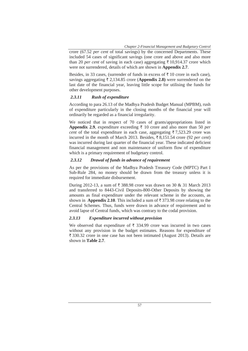crore (67.52 *per cent* of total savings) by the concerned Departments. These included 54 cases of significant savings (one crore and above and also more than 20 *per cent* of saving in each case) aggregating  $\bar{\tau}$  10,914.37 crore which were not surrendered, details of which are shown in **Appendix 2.7**.

Besides, in 33 cases, (surrender of funds in excess of  $\bar{\tau}$  10 crore in each case), savings aggregating  $\bar{\tau}$  2,134.85 crore (**Appendix 2.8**) were surrendered on the last date of the financial year, leaving little scope for utilising the funds for other development purposes.

#### *2.3.11 Rush of expenditure*

According to para 26.13 of the Madhya Pradesh Budget Manual (MPBM), rush of expenditure particularly in the closing months of the financial year will ordinarily be regarded as a financial irregularity.

We noticed that in respect of 70 cases of grants/appropriations listed in **Appendix 2.9**, expenditure exceeding  $\bar{\tau}$  10 crore and also more than 50 *per cent* of the total expenditure in each case, aggregating  $\overline{\tau}$  7,523.29 crore was incurred in the month of March 2013. Besides,  $\bar{\xi}$  8,151.54 crore (92 *per cent*) was incurred during last quarter of the financial year. These indicated deficient financial management and non maintenance of uniform flow of expenditure which is a primary requirement of budgetary control.

#### *2.3.12 Drawal of funds in advance of requirement*

As per the provisions of the Madhya Pradesh Treasury Code (MPTC) Part I Sub-Rule 284, no money should be drawn from the treasury unless it is required for immediate disbursement.

During 2012-13, a sum of ₹ 388.98 crore was drawn on 30 & 31 March 2013 and transferred to 8443-Civil Deposits-800-Other Deposits by showing the amounts as final expenditure under the relevant scheme in the accounts, as shown in **Appendix 2.10**. This included a sum of  $\bar{\tau}$  373.98 crore relating to the Central Schemes. Thus, funds were drawn in advance of requirement and to avoid lapse of Central funds, which was contrary to the codal provision.

#### *2.3.13 Expenditure incurred without provision*

We observed that expenditure of  $\bar{\tau}$  334.99 crore was incurred in two cases without any provision in the budget estimates. Reasons for expenditure of  $\bar{\xi}$  330.32 crore in one case has not been intimated (August 2013). Details are shown in **Table 2.7**.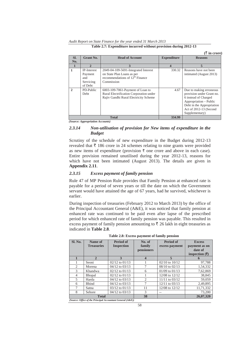*Audit Report on State Finance for the year ended 31 March 2013* 

|              |                                                              |                                                                                                                       |                    | $(\bar{\tau}$ in crore)                                                                                                                                                         |
|--------------|--------------------------------------------------------------|-----------------------------------------------------------------------------------------------------------------------|--------------------|---------------------------------------------------------------------------------------------------------------------------------------------------------------------------------|
| SI.          | <b>Grant No.</b>                                             | <b>Head of Account</b>                                                                                                | <b>Expenditure</b> | <b>Reasons</b>                                                                                                                                                                  |
| No.          |                                                              |                                                                                                                       |                    |                                                                                                                                                                                 |
|              | $\mathbf{2}$                                                 | 3                                                                                                                     | 4                  | 5                                                                                                                                                                               |
| 1            | <b>IP-Interest</b><br>Payment<br>and<br>Servicing<br>of Debt | 2049-04-109-5691-Integrated Interest<br>on State Plan Loans as per<br>recommendations of $12th$ Finance<br>Commission | 330.32             | Reasons have not been<br>intimated (August 2013)                                                                                                                                |
| $\mathbf{2}$ | PD-Public<br><b>Debt</b>                                     | 6003-109-7061-Payment of Loan to<br>Rural Electrification Corporation under<br>Rajiv Gandhi Rural Electricity Scheme  | 4.67               | Due to making erroneous<br>provision under Grant no.<br>6 instead of Charged<br>Appropriation - Public<br>Debt in the Appropriation<br>Act of 2012-13 (Second<br>Supplementary) |
|              |                                                              | <b>Total</b>                                                                                                          | 334.99             |                                                                                                                                                                                 |

**Table 2.7: Expenditure incurred without provision during 2012-13** 

*(Source: Appropriation Accounts)* 

### *2.3.14 Non-utilisation of provision for New items of expenditure in the Budget*

Scrutiny of the schedule of new expenditure in the Budget during 2012-13 revealed that  $\bar{\tau}$  186 crore in 24 schemes relating to nine grants were provided as new items of expenditure (provision  $\bar{\tau}$  one crore and above in each case). Entire provision remained unutilised during the year 2012-13, reasons for which have not been intimated (August 2013). The details are given in **Appendix 2.11**.

#### *2.3.15 Excess payment of family pension*

Rule 47 of MP Pension Rule provides that Family Pension at enhanced rate is payable for a period of seven years or till the date on which the Government servant would have attained the age of 67 years, had he survived, whichever is earlier.

During inspection of treasuries (February 2012 to March 2013) by the office of the Principal Accountant General (A&E), it was noticed that family pension at enhanced rate was continued to be paid even after lapse of the prescribed period for which enhanced rate of family pension was payable. This resulted in excess payment of family pension amounting to  $\bar{\tau}$  26 lakh in eight treasuries as indicated in **Table 2.8**.

| Sl. No. | Name of<br><b>Treasuries</b> | <b>Period of</b><br><b>Inspection</b>                      | No. of<br>family<br>pensioners | <b>Period of</b><br>excess payment | <b>Excess</b><br>payment as on<br>date of<br>inspection $(\overline{\mathbf{\overline{z}}})$ |
|---------|------------------------------|------------------------------------------------------------|--------------------------------|------------------------------------|----------------------------------------------------------------------------------------------|
| 1       | $\mathbf{2}$                 | 3                                                          | $\boldsymbol{4}$               | 5                                  |                                                                                              |
| 1       | Seoni                        | $02/12$ to $01/13$                                         |                                | $02/10$ to $10/12$                 | 97,788                                                                                       |
| 2       | Morena                       | $04/12$ to $03/13$                                         | 7                              | $08/10$ to $02/13$                 | 1,54,332                                                                                     |
| 3       | Khandwa                      | $02/12$ to $01/13$                                         | 6                              | $01/09$ to $01/13$                 | 7,62,869                                                                                     |
| 4       | <b>Bhopal</b>                | $02/12$ to $01/13$                                         |                                | 12/08 to 12/12                     | 38,845                                                                                       |
| 5       | Harda                        | 04/12 to 03/13                                             | 2                              | $11/11$ to $03/12$                 | 59,059                                                                                       |
| 6       | <b>Bhind</b>                 | 04/12 to 03/13                                             |                                | 12/11 to 03/13                     | 2,49,895                                                                                     |
| 7       | Satna                        | $03/12$ to $01/13$                                         | 11                             | 12/08 to 12/12                     | 11,71,332                                                                                    |
| 8       | Sehore                       | $04/12$ to $03/13$                                         | 3                              |                                    | 73,200                                                                                       |
|         | <b>Total</b>                 |                                                            | 38                             |                                    | 26,07,320                                                                                    |
|         |                              | (Source: Office of the Principal Accountant General (A&E)) |                                |                                    |                                                                                              |

**Table 2.8: Excess payment of family pension** 

58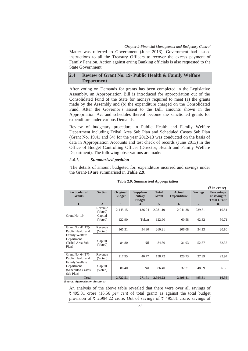*Chapter 2-Financial Management and Budgetary Control* 

Matter was referred to Government (June 2013), Government had issued instructions to all the Treasury Officers to recover the excess payment of Family Pension. Action against erring Banking officials is also requested to the State Government.

## **2.4 Review of Grant No. 19- Public Health & Family Welfare Department**

After voting on Demands for grants has been completed in the Legislative Assembly, an Appropriation Bill is introduced for appropriation out of the Consolidated Fund of the State for moneys required to meet (a) the grants made by the Assembly and (b) the expenditure charged on the Consolidated Fund. After the Governor's assent to the Bill, amounts shown in the Appropriation Act and schedules thereof become the sanctioned grants for expenditure under various Demands.

Review of budgetary procedure in Public Health and Family Welfare Department including Tribal Area Sub Plan and Scheduled Castes Sub Plan (Grant No. 19,41 and 64) for the year 2012-13 was conducted on the basis of data in Appropriation Accounts and test check of records (June 2013) in the Office of Budget Controlling Officer (Director, Health and Family Welfare Department). The following observations are made:

#### *2.4.1. Summarised position*

 The details of amount budgeted for, expenditure incurred and savings under the Grant-19 are summarised in **Table 2.9**.

|                                                                        |                    |                                  |                                     |                       |                                     |                | $(\bar{\tau}$ in crore)                          |
|------------------------------------------------------------------------|--------------------|----------------------------------|-------------------------------------|-----------------------|-------------------------------------|----------------|--------------------------------------------------|
| Particular of<br><b>Grants</b>                                         | <b>Section</b>     | <b>Original</b><br><b>Budget</b> | Supplem-<br>entary<br><b>Budget</b> | <b>Total</b><br>Grant | <b>Actual</b><br><b>Expenditure</b> | <b>Savings</b> | Percentage<br>of saving to<br><b>Total Grant</b> |
| $\mathbf{1}$                                                           | $\overline{2}$     | 3                                | 4                                   | 5                     | 6                                   | $\overline{7}$ | 8                                                |
| Grant No. 19                                                           | Revenue<br>(Voted) | 2,145.15                         | 136.04                              | 2,281.19              | 2,041.38                            | 239.81         | 10.51                                            |
|                                                                        | Capital<br>(Voted) | 122.90                           | Token                               | 122.90                | 60.58                               | 62.32          | 50.71                                            |
| Grant No. 41(17)-<br>Public Health and                                 | Revenue<br>(Voted) | 165.31                           | 94.90                               | 260.21                | 206.08                              | 54.13          | 20.80                                            |
| <b>Family Welfare</b><br>Department<br>(Tribal Area Sub<br>Plan)       | Capital<br>(Voted) | 84.80                            | Nil                                 | 84.80                 | 31.93                               | 52.87          | 62.35                                            |
| Grant No. 64(17)-<br>Public Health and                                 | Revenue<br>(Voted) | 117.95                           | 40.77                               | 158.72                | 120.73                              | 37.99          | 23.94                                            |
| <b>Family Welfare</b><br>Department<br>(Scheduled Castes)<br>Sub Plan) | Capital<br>(Voted) | 86.40                            | Nil                                 | 86.40                 | 37.71                               | 48.69          | 56.35                                            |
| <b>Total</b>                                                           |                    | 2,722.51                         | 271.71                              | 2.994.22              | 2,498.41                            | 495.81         | 16.56                                            |

#### **Table 2.9: Summarised Appropriation**

*(Source: Appropriation Accounts)* 

An analysis of the above table revealed that there were over all savings of ` 495.81 crore (16.56 *per cent* of total grant) as against the total budget provision of  $\bar{\tau}$  2,994.22 crore. Out of savings of  $\bar{\tau}$  495.81 crore, savings of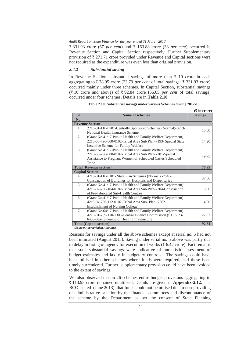$\bar{\tau}$  331.93 crore (67 *per cent*) and  $\bar{\tau}$  163.88 crore (33 *per cent*) occurred in Revenue Section and Capital Section respectively. Further Supplementary provision of  $\bar{\tau}$  271.71 crore provided under Revenue and Capital sections were not required as the expenditure was even less than original provision.

#### *2.4.2 Substantial saving*

In Revenue Section, substantial savings of more than  $\bar{\tau}$  10 crore in each aggregating to  $\bar{\tau}$  78.95 crore (23.79 *per cent* of total savings:  $\bar{\tau}$  331.93 crore) occurred mainly under three schemes. In Capital Section, substantial savings  $(\overline{\xi})$  10 crore and above) of  $\xi$  92.84 crore (56.65 *per cent* of total savings) occurred under four schemes. Details are in **Table 2.10**.

|                                |                                                                                                                                                                                               | $(\overline{\mathbf{\mathsf{F}}}$ in crore) |
|--------------------------------|-----------------------------------------------------------------------------------------------------------------------------------------------------------------------------------------------|---------------------------------------------|
| SI.<br>No.                     | Name of schemes                                                                                                                                                                               | <b>Savings</b>                              |
|                                | <b>Revenue Section</b>                                                                                                                                                                        |                                             |
| 1                              | 2210-01-110-0701-Centrally Sponsored Schemes (Normal)-5613-<br>National Health Insurance Scheme                                                                                               | 15.00                                       |
| 2                              | (Grant No.41/17-Public Health and Family Welfare Department)<br>2210-06-796-800-0102-Tribal Area Sub Plan-7193- Special State<br>Incentive Scheme for Family Welfare                          | 14.20                                       |
| 3                              | (Grant No.41/17-Public Health and Family Welfare Department)<br>2210-06-796-800-0102-Tribal Area Sub Plan-7201-Special<br>Assistance to Pregnant Women of Scheduled Castes/Scheduled<br>Tribe | 49.75                                       |
| <b>Total (Revenue section)</b> | 78.95                                                                                                                                                                                         |                                             |
|                                | <b>Capital Section</b>                                                                                                                                                                        |                                             |
| 4                              | 4210-01-110-0101- State Plan Schemes (Normal) -7648-<br>Construction of Buildings for Hospitals and Dispensaries                                                                              | 37.56                                       |
| 5                              | (Grant No.41/17-Public Health and Family Welfare Department)<br>4210-02-796-104-0102-Tribal Area Sub Plan-7204-Construction<br>of Pre-fabricated Sub-Health Centres                           | 13.06                                       |
| 6                              | (Grant No.41/17-Public Health and Family Welfare Department)<br>4210-04-796-112-0102-Tribal Area Sub- Plan -7202-<br><b>Establishment of Nursing College</b>                                  | 14.90                                       |
| 7                              | (Grant No.64/17-Public Health and Family Welfare Department)<br>4210-01-789-110-1303-Central Finance Commission (S.C.S.P.)-<br>6453-Strengthening of Health Infrastructure                    | 27.32                                       |
| <b>Total (Capital section)</b> | 92.84                                                                                                                                                                                         |                                             |

**Table 2.10: Substantial savings under various Schemes during 2012-13** 

 *(Source: Appropriation Accounts)* 

Reasons for savings under all the above schemes except at serial no. 5 had not been intimated (August 2013). Saving under serial no. 5 above was partly due to delay in fixing of agency for execution of works ( $\bar{\tau}$  6.42 crore). Fact remains that such substantial savings were indicative of unrealistic assessment of budget estimates and laxity in budgetary controls. The savings could have been utilised in other schemes where funds were required, had these been timely surrendered. Further, supplementary provision could have been avoided to the extent of savings.

We also observed that in 26 schemes entire budget provisions aggregating to ` 113.93 crore remained unutilised. Details are given in **Appendix-2.12**. The BCO stated (June 2013) that funds could not be utilised due to non-providing of administrative sanction by the financial committees and discontinuance of the scheme by the Department as per the consent of State Planning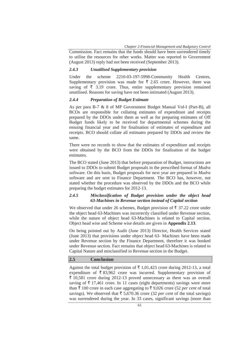*Chapter 2-Financial Management and Budgetary Control* 

Commission. Fact remains that the funds should have been surrendered timely to utilise the resources for other works. Matter was reported to Government (August 2013) reply had not been received (September 2013).

#### *2.4.3 Unutilised Supplementary provision*

Under the scheme 2210-03-197-5998-Community Health Centres, Supplementary provision was made for  $\bar{\tau}$  2.65 crore. However, there was saving of  $\bar{\tau}$  3.19 crore. Thus, entire supplementary provision remained unutilised. Reasons for saving have not been intimated (August 2013).

#### *2.4.4 Preparation of Budget Estimate*

As per para B-7 & 8 of MP Government Budget Manual Vol-I (Part-B), all BCOs are responsible for collating estimates of expenditure and receipts prepared by the DDOs under them as well as for preparing estimates of Off Budget funds likely to be received for departmental schemes during the ensuing financial year and for finalisation of estimates of expenditure and receipts. BCO should collate all estimates prepared by DDOs and review the same.

There were no records to show that the estimates of expenditure and receipts were obtained by the BCO from the DDOs for finalisation of the budget estimates.

The BCO stated (June 2013) that before preparation of Budget, instructions are issued to DDOs to submit Budget proposals in the prescribed format of *Mudra* software. On this basis, Budget proposals for next year are prepared in *Mudra* software and are sent to Finance Department. The BCO has, however, not stated whether the procedure was observed by the DDOs and the BCO while preparing the budget estimates for 2012-13.

### *2.4.5 Misclassification of Budget provision under the object head 63-Machines in Revenue section instead of Capital section*

We observed that under 26 schemes, Budget provision of  $\bar{\tau}$  37.22 crore under the object head 63-Machines was incorrectly classified under Revenue section, while the nature of object head 63-Machines is related to Capital section. Object head wise and Scheme wise details are given in **Appendix 2.13**.

On being pointed out by Audit (June 2013) Director, Health Services stated (June 2013) that provisions under object head 63- Machines have been made under Revenue section by the Finance Department, therefore it was booked under Revenue section. Fact remains that object head 63-Machines is related to Capital Nature and misclassified in Revenue section in the Budget.

## **2.5 Conclusion**

Against the total budget provision of  $\bar{\tau}$  1,01,423 crore during 2012-13, a total expenditure of  $\bar{\tau}$  83,962 crore was incurred. Supplementary provision of  $\bar{\xi}$  10,581 crore during 2012-13 proved unnecessary as there was an overall saving of  $\bar{\tau}$  17,461 crore. In 11 cases (eight departments) savings were more than  $\bar{\tau}$  100 crore in each case aggregating to  $\bar{\tau}$  9,026 crore (52 *per cent* of total savings). We observed that  $\bar{\tau}$  5,670.36 crore (32 *per cent* of the total savings) was surrendered during the year. In 33 cases, significant savings (more than